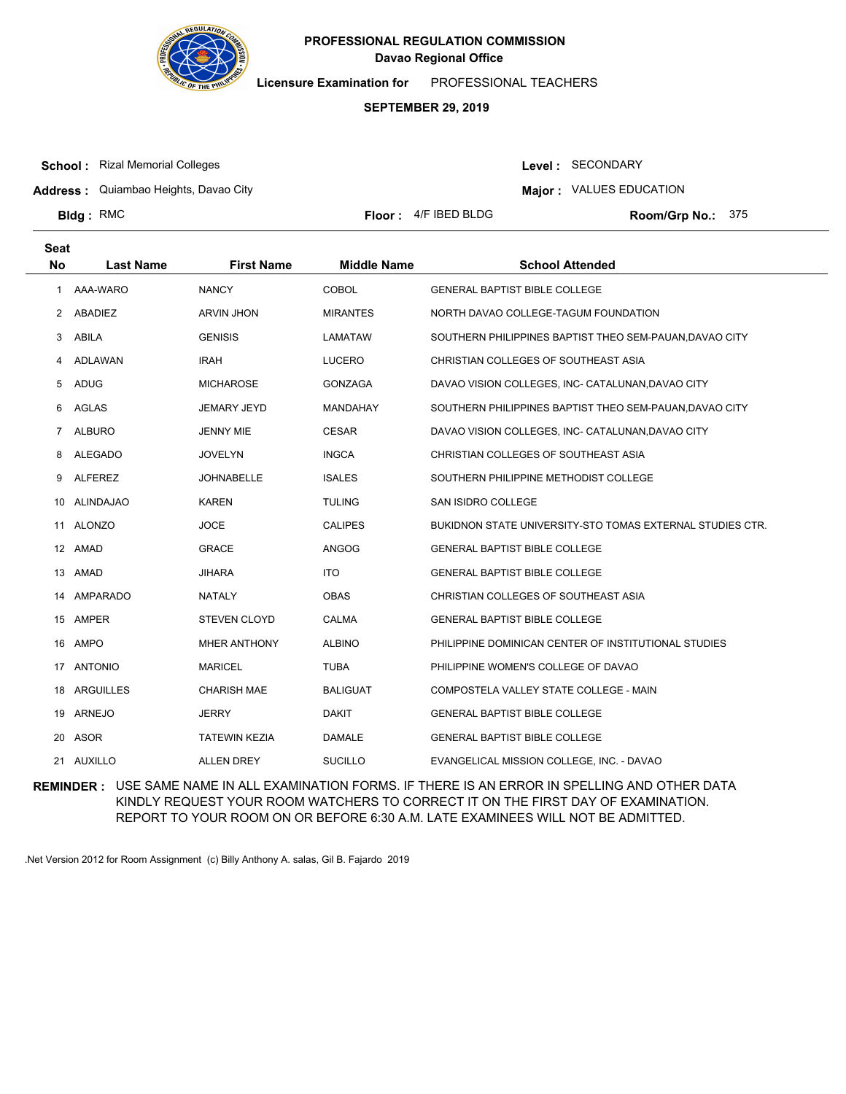

**Licensure Examination for**  PROFESSIONAL TEACHERS

### **SEPTEMBER 29, 2019**

**School :** Rizal Memorial Colleges

Level : SECONDARY

**Address :** Quiambao Heights, Davao City

**Major : VALUES EDUCATION** 

**Bldg: RMC** 

**Floor :**  $4/F$  IBED BLDG

Room/Grp No.: 375

| <b>Seat</b>    |                  |                      |                    |                                                           |
|----------------|------------------|----------------------|--------------------|-----------------------------------------------------------|
| <b>No</b>      | <b>Last Name</b> | <b>First Name</b>    | <b>Middle Name</b> | <b>School Attended</b>                                    |
| $\overline{1}$ | AAA-WARO         | <b>NANCY</b>         | <b>COBOL</b>       | <b>GENERAL BAPTIST BIBLE COLLEGE</b>                      |
| 2              | ABADIEZ          | <b>ARVIN JHON</b>    | <b>MIRANTES</b>    | NORTH DAVAO COLLEGE-TAGUM FOUNDATION                      |
| 3              | ABILA            | <b>GENISIS</b>       | LAMATAW            | SOUTHERN PHILIPPINES BAPTIST THEO SEM-PAUAN, DAVAO CITY   |
| 4              | ADLAWAN          | <b>IRAH</b>          | <b>LUCERO</b>      | CHRISTIAN COLLEGES OF SOUTHEAST ASIA                      |
| 5              | <b>ADUG</b>      | <b>MICHAROSE</b>     | <b>GONZAGA</b>     | DAVAO VISION COLLEGES, INC- CATALUNAN, DAVAO CITY         |
| 6              | AGLAS            | <b>JEMARY JEYD</b>   | MANDAHAY           | SOUTHERN PHILIPPINES BAPTIST THEO SEM-PAUAN, DAVAO CITY   |
| $\mathbf{7}$   | <b>ALBURO</b>    | <b>JENNY MIE</b>     | <b>CESAR</b>       | DAVAO VISION COLLEGES, INC- CATALUNAN, DAVAO CITY         |
| 8              | <b>ALEGADO</b>   | <b>JOVELYN</b>       | <b>INGCA</b>       | CHRISTIAN COLLEGES OF SOUTHEAST ASIA                      |
| 9              | <b>ALFEREZ</b>   | <b>JOHNABELLE</b>    | <b>ISALES</b>      | SOUTHERN PHILIPPINE METHODIST COLLEGE                     |
| 10             | <b>ALINDAJAO</b> | <b>KAREN</b>         | <b>TULING</b>      | SAN ISIDRO COLLEGE                                        |
|                | 11 ALONZO        | <b>JOCE</b>          | <b>CALIPES</b>     | BUKIDNON STATE UNIVERSITY-STO TOMAS EXTERNAL STUDIES CTR. |
|                | 12 AMAD          | <b>GRACE</b>         | <b>ANGOG</b>       | <b>GENERAL BAPTIST BIBLE COLLEGE</b>                      |
|                | 13 AMAD          | <b>JIHARA</b>        | <b>ITO</b>         | <b>GENERAL BAPTIST BIBLE COLLEGE</b>                      |
|                | 14 AMPARADO      | NATALY               | <b>OBAS</b>        | CHRISTIAN COLLEGES OF SOUTHEAST ASIA                      |
| 15             | AMPER            | <b>STEVEN CLOYD</b>  | <b>CALMA</b>       | <b>GENERAL BAPTIST BIBLE COLLEGE</b>                      |
|                | 16 AMPO          | <b>MHER ANTHONY</b>  | <b>ALBINO</b>      | PHILIPPINE DOMINICAN CENTER OF INSTITUTIONAL STUDIES      |
|                | 17 ANTONIO       | <b>MARICEL</b>       | <b>TUBA</b>        | PHILIPPINE WOMEN'S COLLEGE OF DAVAO                       |
| 18             | <b>ARGUILLES</b> | <b>CHARISH MAE</b>   | <b>BALIGUAT</b>    | COMPOSTELA VALLEY STATE COLLEGE - MAIN                    |
|                | 19 ARNEJO        | JERRY                | DAKIT              | <b>GENERAL BAPTIST BIBLE COLLEGE</b>                      |
|                | 20 ASOR          | <b>TATEWIN KEZIA</b> | <b>DAMALE</b>      | <b>GENERAL BAPTIST BIBLE COLLEGE</b>                      |
|                | 21 AUXILLO       | <b>ALLEN DREY</b>    | <b>SUCILLO</b>     | EVANGELICAL MISSION COLLEGE, INC. - DAVAO                 |

**REMINDER :** USE SAME NAME IN ALL EXAMINATION FORMS. IF THERE IS AN ERROR IN SPELLING AND OTHER DATA KINDLY REQUEST YOUR ROOM WATCHERS TO CORRECT IT ON THE FIRST DAY OF EXAMINATION. REPORT TO YOUR ROOM ON OR BEFORE 6:30 A.M. LATE EXAMINEES WILL NOT BE ADMITTED.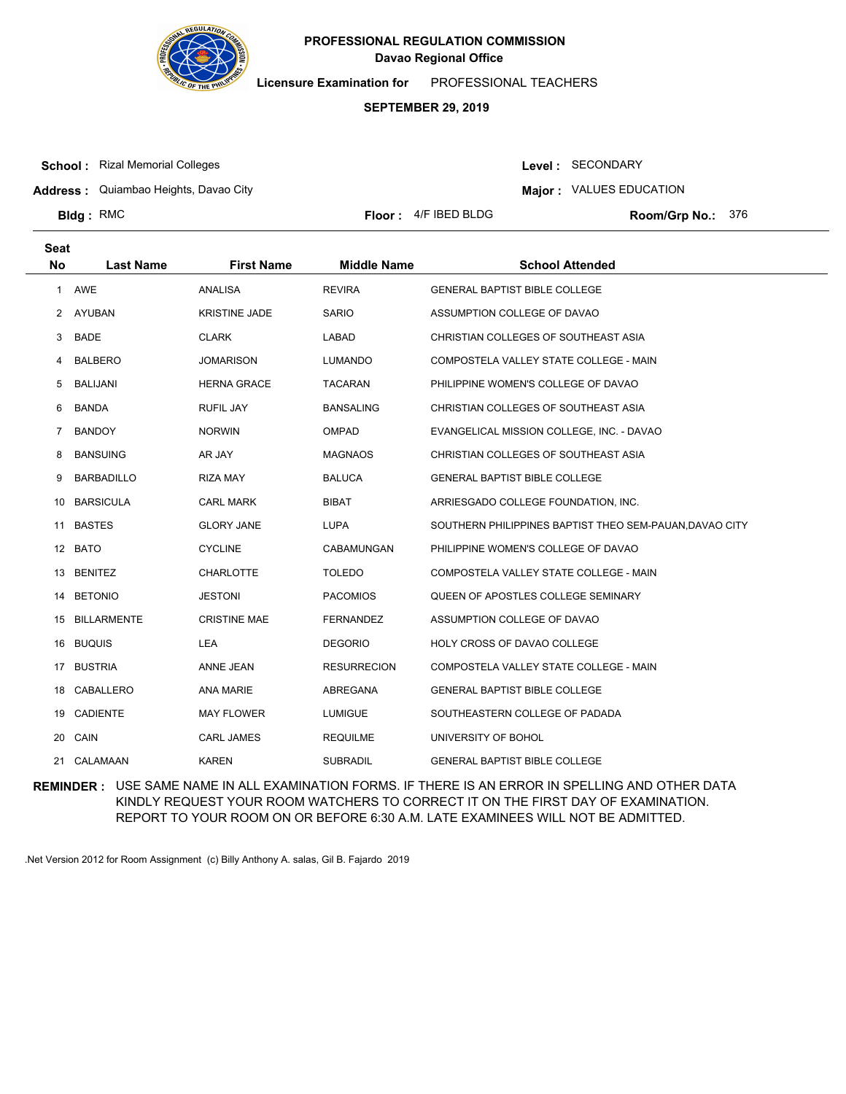

**Licensure Examination for**  PROFESSIONAL TEACHERS

# **SEPTEMBER 29, 2019**

**School :** Rizal Memorial Colleges

Level : SECONDARY

**Address :** Quiambao Heights, Davao City

**Major : VALUES EDUCATION** 

**Bldg**: RMC

**Seat**

**Floor :**  $4/F$  IBED BLDG

Room/Grp No.: 376

| υσαι      |                    |                      |                    |                                                         |
|-----------|--------------------|----------------------|--------------------|---------------------------------------------------------|
| <b>No</b> | <b>Last Name</b>   | <b>First Name</b>    | <b>Middle Name</b> | <b>School Attended</b>                                  |
|           | 1 AWE              | ANALISA              | <b>REVIRA</b>      | <b>GENERAL BAPTIST BIBLE COLLEGE</b>                    |
|           | 2 AYUBAN           | <b>KRISTINE JADE</b> | <b>SARIO</b>       | ASSUMPTION COLLEGE OF DAVAO                             |
| 3         | <b>BADE</b>        | <b>CLARK</b>         | LABAD              | CHRISTIAN COLLEGES OF SOUTHEAST ASIA                    |
| 4         | <b>BALBERO</b>     | <b>JOMARISON</b>     | <b>LUMANDO</b>     | COMPOSTELA VALLEY STATE COLLEGE - MAIN                  |
| 5         | BALIJANI           | <b>HERNA GRACE</b>   | TACARAN            | PHILIPPINE WOMEN'S COLLEGE OF DAVAO                     |
| 6         | <b>BANDA</b>       | <b>RUFIL JAY</b>     | <b>BANSALING</b>   | CHRISTIAN COLLEGES OF SOUTHEAST ASIA                    |
| 7         | <b>BANDOY</b>      | <b>NORWIN</b>        | <b>OMPAD</b>       | EVANGELICAL MISSION COLLEGE, INC. - DAVAO               |
| 8         | <b>BANSUING</b>    | AR JAY               | <b>MAGNAOS</b>     | CHRISTIAN COLLEGES OF SOUTHEAST ASIA                    |
| 9         | <b>BARBADILLO</b>  | <b>RIZA MAY</b>      | <b>BALUCA</b>      | GENERAL BAPTIST BIBLE COLLEGE                           |
| 10        | <b>BARSICULA</b>   | <b>CARL MARK</b>     | BIBAT              | ARRIESGADO COLLEGE FOUNDATION, INC.                     |
| 11        | <b>BASTES</b>      | <b>GLORY JANE</b>    | LUPA               | SOUTHERN PHILIPPINES BAPTIST THEO SEM-PAUAN, DAVAO CITY |
|           | 12 BATO            | <b>CYCLINE</b>       | CABAMUNGAN         | PHILIPPINE WOMEN'S COLLEGE OF DAVAO                     |
|           | 13 BENITEZ         | <b>CHARLOTTE</b>     | <b>TOLEDO</b>      | COMPOSTELA VALLEY STATE COLLEGE - MAIN                  |
| 14        | <b>BETONIO</b>     | <b>JESTONI</b>       | <b>PACOMIOS</b>    | QUEEN OF APOSTLES COLLEGE SEMINARY                      |
| 15        | <b>BILLARMENTE</b> | <b>CRISTINE MAE</b>  | <b>FERNANDEZ</b>   | ASSUMPTION COLLEGE OF DAVAO                             |
| 16        | <b>BUQUIS</b>      | LEA                  | <b>DEGORIO</b>     | HOLY CROSS OF DAVAO COLLEGE                             |
| 17        | <b>BUSTRIA</b>     | ANNE JEAN            | <b>RESURRECION</b> | COMPOSTELA VALLEY STATE COLLEGE - MAIN                  |
|           | 18 CABALLERO       | <b>ANA MARIE</b>     | ABREGANA           | <b>GENERAL BAPTIST BIBLE COLLEGE</b>                    |
| 19        | CADIENTE           | <b>MAY FLOWER</b>    | <b>LUMIGUE</b>     | SOUTHEASTERN COLLEGE OF PADADA                          |
|           | 20 CAIN            | <b>CARL JAMES</b>    | <b>REQUILME</b>    | UNIVERSITY OF BOHOL                                     |
|           | 21 CALAMAAN        | <b>KAREN</b>         | <b>SUBRADIL</b>    | <b>GENERAL BAPTIST BIBLE COLLEGE</b>                    |

**REMINDER :** USE SAME NAME IN ALL EXAMINATION FORMS. IF THERE IS AN ERROR IN SPELLING AND OTHER DATA KINDLY REQUEST YOUR ROOM WATCHERS TO CORRECT IT ON THE FIRST DAY OF EXAMINATION. REPORT TO YOUR ROOM ON OR BEFORE 6:30 A.M. LATE EXAMINEES WILL NOT BE ADMITTED.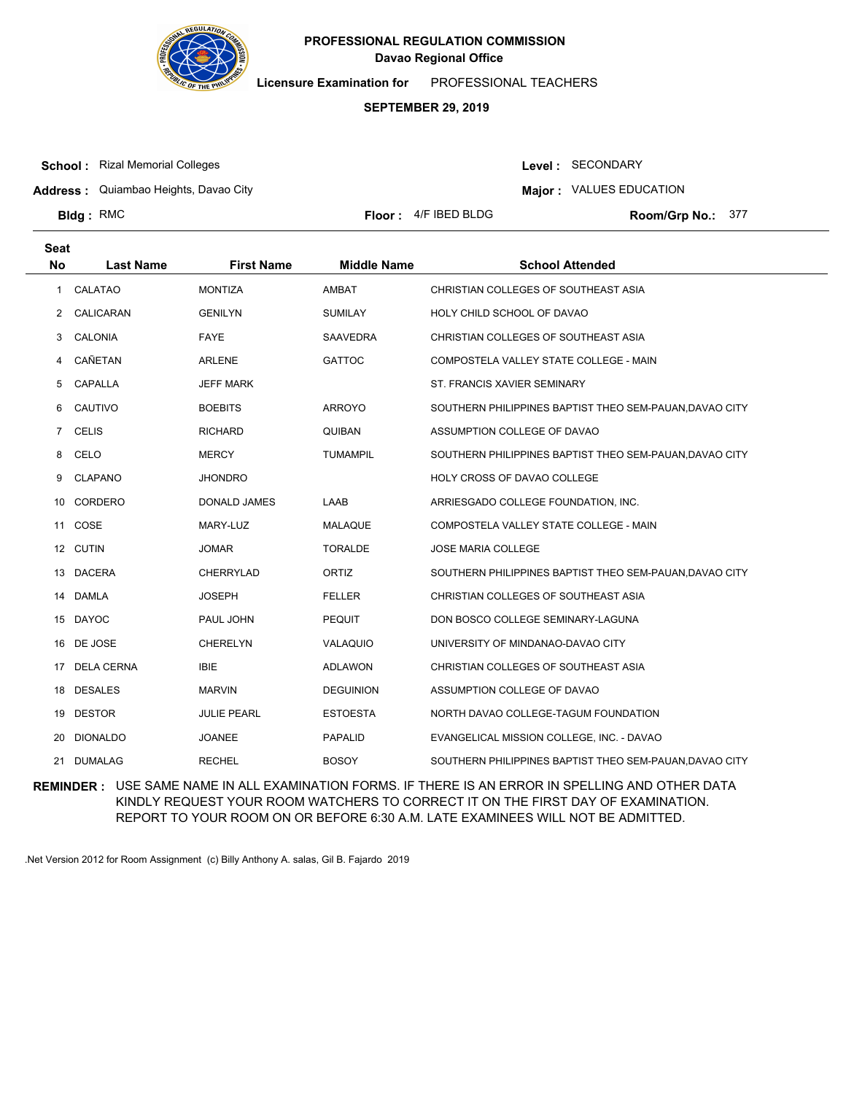

**Licensure Examination for**  PROFESSIONAL TEACHERS

### **SEPTEMBER 29, 2019**

**School :** Rizal Memorial Colleges

Level : SECONDARY

**Address :** Quiambao Heights, Davao City

**Major : VALUES EDUCATION** 

**Bldg**: RMC

**Seat**

**Floor :**  $4/F$  IBED BLDG

Room/Grp No.: 377

| συαι                 |                   |                     |                    |                                                         |
|----------------------|-------------------|---------------------|--------------------|---------------------------------------------------------|
| <b>No</b>            | <b>Last Name</b>  | <b>First Name</b>   | <b>Middle Name</b> | <b>School Attended</b>                                  |
| $\mathbf{1}$         | CALATAO           | <b>MONTIZA</b>      | <b>AMBAT</b>       | CHRISTIAN COLLEGES OF SOUTHEAST ASIA                    |
| $\mathbf{2}^{\circ}$ | CALICARAN         | <b>GENILYN</b>      | <b>SUMILAY</b>     | HOLY CHILD SCHOOL OF DAVAO                              |
| 3                    | CALONIA           | <b>FAYE</b>         | SAAVEDRA           | CHRISTIAN COLLEGES OF SOUTHEAST ASIA                    |
| 4                    | CAÑETAN           | <b>ARLENE</b>       | <b>GATTOC</b>      | COMPOSTELA VALLEY STATE COLLEGE - MAIN                  |
| 5                    | CAPALLA           | <b>JEFF MARK</b>    |                    | ST. FRANCIS XAVIER SEMINARY                             |
| 6                    | CAUTIVO           | <b>BOEBITS</b>      | <b>ARROYO</b>      | SOUTHERN PHILIPPINES BAPTIST THEO SEM-PAUAN, DAVAO CITY |
| $\overline{7}$       | <b>CELIS</b>      | <b>RICHARD</b>      | <b>QUIBAN</b>      | ASSUMPTION COLLEGE OF DAVAO                             |
| 8                    | CELO              | <b>MERCY</b>        | <b>TUMAMPIL</b>    | SOUTHERN PHILIPPINES BAPTIST THEO SEM-PAUAN, DAVAO CITY |
| 9                    | <b>CLAPANO</b>    | <b>JHONDRO</b>      |                    | HOLY CROSS OF DAVAO COLLEGE                             |
| 10                   | CORDERO           | <b>DONALD JAMES</b> | LAAB               | ARRIESGADO COLLEGE FOUNDATION, INC.                     |
| 11                   | COSE              | MARY-LUZ            | <b>MALAQUE</b>     | COMPOSTELA VALLEY STATE COLLEGE - MAIN                  |
|                      | 12 CUTIN          | JOMAR               | <b>TORALDE</b>     | <b>JOSE MARIA COLLEGE</b>                               |
|                      | 13 DACERA         | <b>CHERRYLAD</b>    | ORTIZ              | SOUTHERN PHILIPPINES BAPTIST THEO SEM-PAUAN, DAVAO CITY |
| 14                   | DAMLA             | <b>JOSEPH</b>       | <b>FELLER</b>      | CHRISTIAN COLLEGES OF SOUTHEAST ASIA                    |
|                      | 15 DAYOC          | PAUL JOHN           | <b>PEQUIT</b>      | DON BOSCO COLLEGE SEMINARY-LAGUNA                       |
|                      | 16 DE JOSE        | <b>CHERELYN</b>     | VALAQUIO           | UNIVERSITY OF MINDANAO-DAVAO CITY                       |
| 17                   | <b>DELA CERNA</b> | <b>IBIE</b>         | <b>ADLAWON</b>     | CHRISTIAN COLLEGES OF SOUTHEAST ASIA                    |
|                      | 18 DESALES        | <b>MARVIN</b>       | <b>DEGUINION</b>   | ASSUMPTION COLLEGE OF DAVAO                             |
| 19                   | <b>DESTOR</b>     | <b>JULIE PEARL</b>  | <b>ESTOESTA</b>    | NORTH DAVAO COLLEGE-TAGUM FOUNDATION                    |
| 20                   | <b>DIONALDO</b>   | <b>JOANEE</b>       | <b>PAPALID</b>     | EVANGELICAL MISSION COLLEGE, INC. - DAVAO               |
| 21                   | <b>DUMALAG</b>    | <b>RECHEL</b>       | <b>BOSOY</b>       | SOUTHERN PHILIPPINES BAPTIST THEO SEM-PAUAN, DAVAO CITY |

**REMINDER :** USE SAME NAME IN ALL EXAMINATION FORMS. IF THERE IS AN ERROR IN SPELLING AND OTHER DATA KINDLY REQUEST YOUR ROOM WATCHERS TO CORRECT IT ON THE FIRST DAY OF EXAMINATION. REPORT TO YOUR ROOM ON OR BEFORE 6:30 A.M. LATE EXAMINEES WILL NOT BE ADMITTED.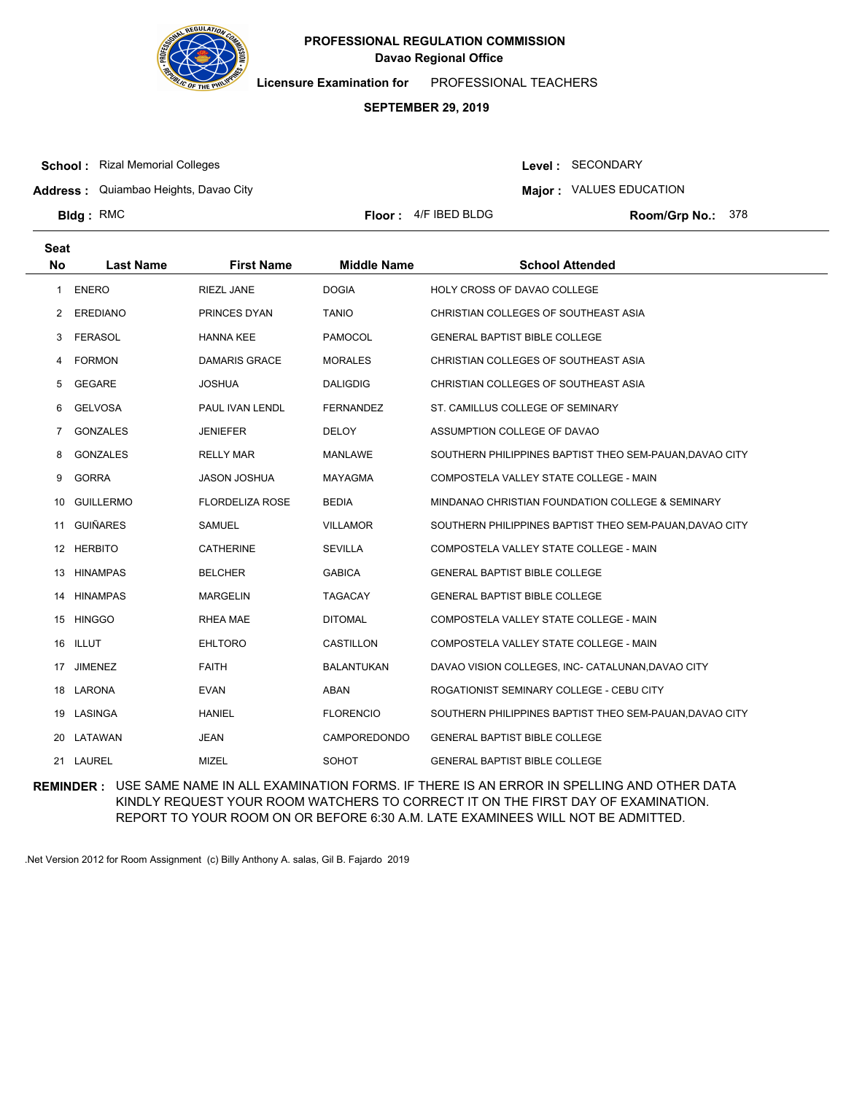

**Licensure Examination for**  PROFESSIONAL TEACHERS

### **SEPTEMBER 29, 2019**

**School :** Rizal Memorial Colleges

**Seat**

**Bldg**: RMC

Level : SECONDARY

**Address :** Quiambao Heights, Davao City

**Major : VALUES EDUCATION** 

**Floor :**  $4/F$  IBED BLDG

Room/Grp No.: 378

| υσαι |                  |                        |                     |                                                         |
|------|------------------|------------------------|---------------------|---------------------------------------------------------|
| No   | <b>Last Name</b> | <b>First Name</b>      | <b>Middle Name</b>  | <b>School Attended</b>                                  |
| 1    | <b>ENERO</b>     | <b>RIEZL JANE</b>      | <b>DOGIA</b>        | HOLY CROSS OF DAVAO COLLEGE                             |
| 2    | <b>EREDIANO</b>  | PRINCES DYAN           | <b>TANIO</b>        | CHRISTIAN COLLEGES OF SOUTHEAST ASIA                    |
| 3    | <b>FERASOL</b>   | <b>HANNA KEE</b>       | PAMOCOL             | <b>GENERAL BAPTIST BIBLE COLLEGE</b>                    |
| 4    | <b>FORMON</b>    | DAMARIS GRACE          | <b>MORALES</b>      | CHRISTIAN COLLEGES OF SOUTHEAST ASIA                    |
| 5    | <b>GEGARE</b>    | <b>JOSHUA</b>          | <b>DALIGDIG</b>     | CHRISTIAN COLLEGES OF SOUTHEAST ASIA                    |
| 6    | <b>GELVOSA</b>   | PAUL IVAN LENDL        | <b>FERNANDEZ</b>    | ST. CAMILLUS COLLEGE OF SEMINARY                        |
| 7    | <b>GONZALES</b>  | <b>JENIEFER</b>        | <b>DELOY</b>        | ASSUMPTION COLLEGE OF DAVAO                             |
| 8    | <b>GONZALES</b>  | <b>RELLY MAR</b>       | <b>MANLAWE</b>      | SOUTHERN PHILIPPINES BAPTIST THEO SEM-PAUAN, DAVAO CITY |
| 9    | <b>GORRA</b>     | <b>JASON JOSHUA</b>    | <b>MAYAGMA</b>      | COMPOSTELA VALLEY STATE COLLEGE - MAIN                  |
| 10   | <b>GUILLERMO</b> | <b>FLORDELIZA ROSE</b> | <b>BEDIA</b>        | MINDANAO CHRISTIAN FOUNDATION COLLEGE & SEMINARY        |
|      | 11 GUIÑARES      | SAMUEL                 | <b>VILLAMOR</b>     | SOUTHERN PHILIPPINES BAPTIST THEO SEM-PAUAN, DAVAO CITY |
|      | 12 HERBITO       | <b>CATHERINE</b>       | <b>SEVILLA</b>      | COMPOSTELA VALLEY STATE COLLEGE - MAIN                  |
| 13   | <b>HINAMPAS</b>  | <b>BELCHER</b>         | <b>GABICA</b>       | <b>GENERAL BAPTIST BIBLE COLLEGE</b>                    |
|      | 14 HINAMPAS      | <b>MARGELIN</b>        | <b>TAGACAY</b>      | <b>GENERAL BAPTIST BIBLE COLLEGE</b>                    |
|      | 15 HINGGO        | RHEA MAE               | <b>DITOMAL</b>      | COMPOSTELA VALLEY STATE COLLEGE - MAIN                  |
|      | 16 ILLUT         | <b>EHLTORO</b>         | <b>CASTILLON</b>    | COMPOSTELA VALLEY STATE COLLEGE - MAIN                  |
| 17   | <b>JIMENEZ</b>   | <b>FAITH</b>           | <b>BALANTUKAN</b>   | DAVAO VISION COLLEGES, INC- CATALUNAN, DAVAO CITY       |
|      | 18 LARONA        | <b>EVAN</b>            | ABAN                | ROGATIONIST SEMINARY COLLEGE - CEBU CITY                |
|      | 19 LASINGA       | <b>HANIEL</b>          | <b>FLORENCIO</b>    | SOUTHERN PHILIPPINES BAPTIST THEO SEM-PAUAN, DAVAO CITY |
| 20   | LATAWAN          | <b>JEAN</b>            | <b>CAMPOREDONDO</b> | <b>GENERAL BAPTIST BIBLE COLLEGE</b>                    |
|      | 21 LAUREL        | <b>MIZEL</b>           | <b>SOHOT</b>        | <b>GENERAL BAPTIST BIBLE COLLEGE</b>                    |

**REMINDER :** USE SAME NAME IN ALL EXAMINATION FORMS. IF THERE IS AN ERROR IN SPELLING AND OTHER DATA KINDLY REQUEST YOUR ROOM WATCHERS TO CORRECT IT ON THE FIRST DAY OF EXAMINATION. REPORT TO YOUR ROOM ON OR BEFORE 6:30 A.M. LATE EXAMINEES WILL NOT BE ADMITTED.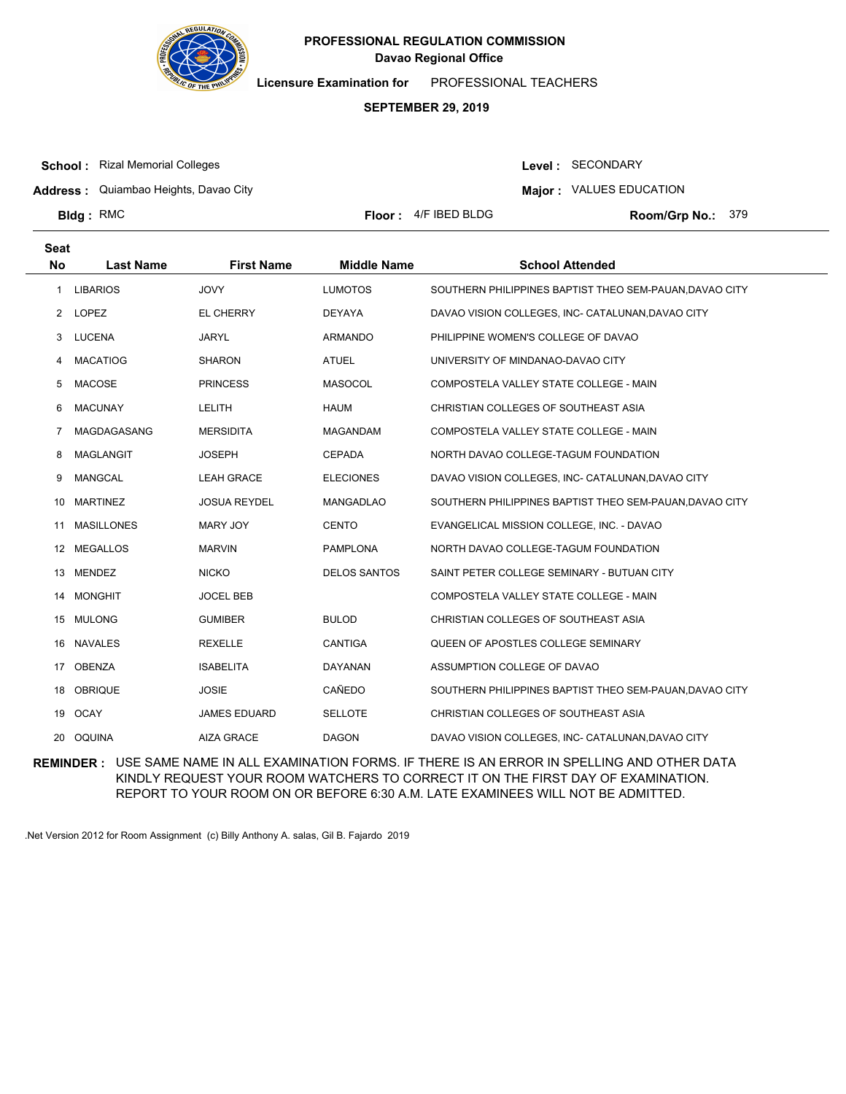

**Licensure Examination for**  PROFESSIONAL TEACHERS

### **SEPTEMBER 29, 2019**

**School :** Rizal Memorial Colleges

Level : SECONDARY

**Address :** Quiambao Heights, Davao City

**Major : VALUES EDUCATION** 

**Bldg: RMC** 

**Floor :**  $4/F$  IBED BLDG

Room/Grp No.: 379

| <b>Seat</b> |                   |                     |                     |                                                         |
|-------------|-------------------|---------------------|---------------------|---------------------------------------------------------|
| <b>No</b>   | <b>Last Name</b>  | <b>First Name</b>   | <b>Middle Name</b>  | <b>School Attended</b>                                  |
| 1           | <b>LIBARIOS</b>   | <b>JOVY</b>         | <b>LUMOTOS</b>      | SOUTHERN PHILIPPINES BAPTIST THEO SEM-PAUAN, DAVAO CITY |
| 2           | LOPEZ             | EL CHERRY           | DEYAYA              | DAVAO VISION COLLEGES, INC- CATALUNAN, DAVAO CITY       |
| 3           | <b>LUCENA</b>     | <b>JARYL</b>        | <b>ARMANDO</b>      | PHILIPPINE WOMEN'S COLLEGE OF DAVAO                     |
| 4           | <b>MACATIOG</b>   | <b>SHARON</b>       | <b>ATUEL</b>        | UNIVERSITY OF MINDANAO-DAVAO CITY                       |
| 5           | <b>MACOSE</b>     | <b>PRINCESS</b>     | <b>MASOCOL</b>      | COMPOSTELA VALLEY STATE COLLEGE - MAIN                  |
| 6           | <b>MACUNAY</b>    | LELITH              | <b>HAUM</b>         | CHRISTIAN COLLEGES OF SOUTHEAST ASIA                    |
| 7           | MAGDAGASANG       | <b>MERSIDITA</b>    | MAGANDAM            | COMPOSTELA VALLEY STATE COLLEGE - MAIN                  |
| 8           | <b>MAGLANGIT</b>  | <b>JOSEPH</b>       | <b>CEPADA</b>       | NORTH DAVAO COLLEGE-TAGUM FOUNDATION                    |
| 9           | <b>MANGCAL</b>    | <b>LEAH GRACE</b>   | <b>ELECIONES</b>    | DAVAO VISION COLLEGES, INC- CATALUNAN, DAVAO CITY       |
| 10          | <b>MARTINEZ</b>   | <b>JOSUA REYDEL</b> | <b>MANGADLAO</b>    | SOUTHERN PHILIPPINES BAPTIST THEO SEM-PAUAN, DAVAO CITY |
| 11          | <b>MASILLONES</b> | <b>MARY JOY</b>     | <b>CENTO</b>        | EVANGELICAL MISSION COLLEGE, INC. - DAVAO               |
| 12          | <b>MEGALLOS</b>   | <b>MARVIN</b>       | <b>PAMPLONA</b>     | NORTH DAVAO COLLEGE-TAGUM FOUNDATION                    |
| 13          | <b>MENDEZ</b>     | <b>NICKO</b>        | <b>DELOS SANTOS</b> | SAINT PETER COLLEGE SEMINARY - BUTUAN CITY              |
| 14          | <b>MONGHIT</b>    | <b>JOCEL BEB</b>    |                     | COMPOSTELA VALLEY STATE COLLEGE - MAIN                  |
| 15          | <b>MULONG</b>     | <b>GUMIBER</b>      | <b>BULOD</b>        | CHRISTIAN COLLEGES OF SOUTHEAST ASIA                    |
| 16          | <b>NAVALES</b>    | <b>REXELLE</b>      | CANTIGA             | QUEEN OF APOSTLES COLLEGE SEMINARY                      |
| 17          | <b>OBENZA</b>     | <b>ISABELITA</b>    | <b>DAYANAN</b>      | ASSUMPTION COLLEGE OF DAVAO                             |
| 18          | <b>OBRIQUE</b>    | <b>JOSIE</b>        | CAÑEDO              | SOUTHERN PHILIPPINES BAPTIST THEO SEM-PAUAN, DAVAO CITY |
| 19          | <b>OCAY</b>       | <b>JAMES EDUARD</b> | <b>SELLOTE</b>      | CHRISTIAN COLLEGES OF SOUTHEAST ASIA                    |
|             | 20 OQUINA         | <b>AIZA GRACE</b>   | <b>DAGON</b>        | DAVAO VISION COLLEGES, INC- CATALUNAN, DAVAO CITY       |

**REMINDER :** USE SAME NAME IN ALL EXAMINATION FORMS. IF THERE IS AN ERROR IN SPELLING AND OTHER DATA KINDLY REQUEST YOUR ROOM WATCHERS TO CORRECT IT ON THE FIRST DAY OF EXAMINATION. REPORT TO YOUR ROOM ON OR BEFORE 6:30 A.M. LATE EXAMINEES WILL NOT BE ADMITTED.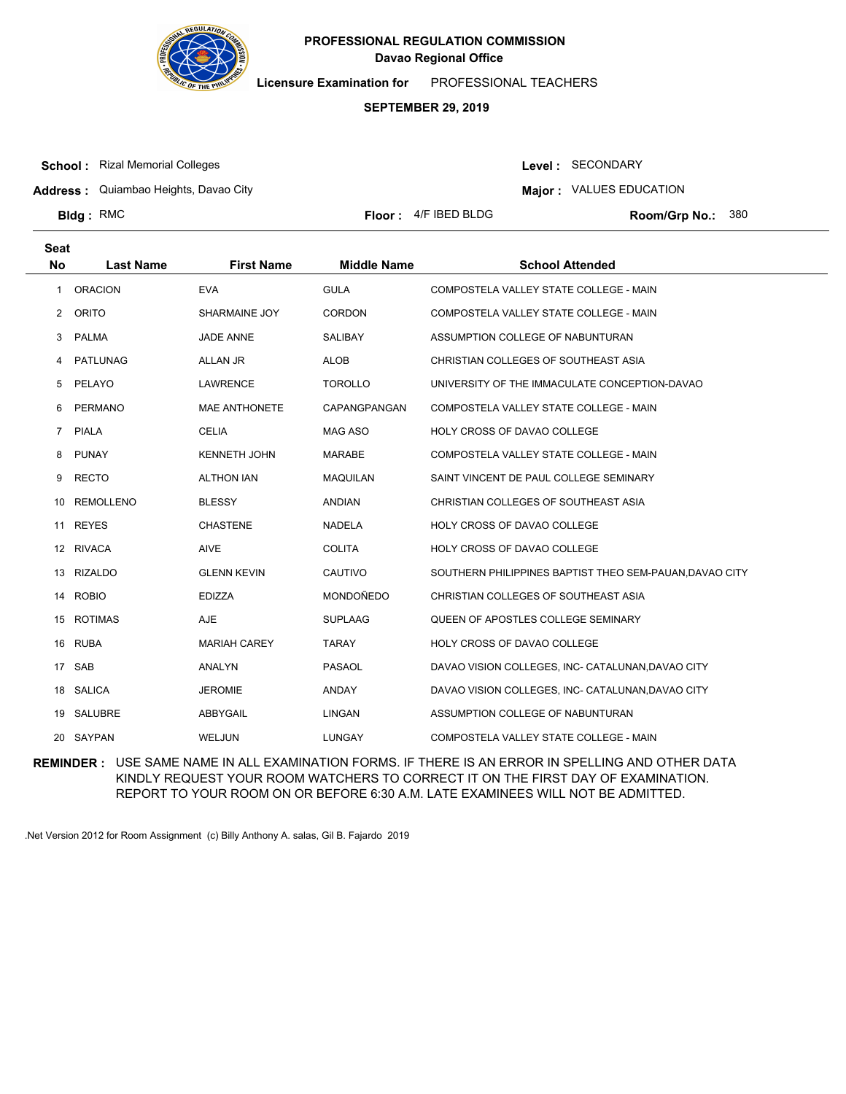

**Licensure Examination for**  PROFESSIONAL TEACHERS

### **SEPTEMBER 29, 2019**

**School :** Rizal Memorial Colleges

Level : SECONDARY

**Address :** Quiambao Heights, Davao City

**Major : VALUES EDUCATION** 

**Bldg: RMC** 

**Floor :**  $4/F$  IBED BLDG

Room/Grp No.: 380

| <b>Seat</b>    |                  |                      |                    |                                                         |
|----------------|------------------|----------------------|--------------------|---------------------------------------------------------|
| <b>No</b>      | <b>Last Name</b> | <b>First Name</b>    | <b>Middle Name</b> | <b>School Attended</b>                                  |
| 1              | <b>ORACION</b>   | <b>EVA</b>           | <b>GULA</b>        | COMPOSTELA VALLEY STATE COLLEGE - MAIN                  |
| 2              | <b>ORITO</b>     | SHARMAINE JOY        | <b>CORDON</b>      | COMPOSTELA VALLEY STATE COLLEGE - MAIN                  |
| 3              | <b>PALMA</b>     | <b>JADE ANNE</b>     | <b>SALIBAY</b>     | ASSUMPTION COLLEGE OF NABUNTURAN                        |
| 4              | PATLUNAG         | ALLAN JR             | <b>ALOB</b>        | CHRISTIAN COLLEGES OF SOUTHEAST ASIA                    |
| 5              | PELAYO           | <b>LAWRENCE</b>      | <b>TOROLLO</b>     | UNIVERSITY OF THE IMMACULATE CONCEPTION-DAVAO           |
| 6              | <b>PERMANO</b>   | <b>MAE ANTHONETE</b> | CAPANGPANGAN       | COMPOSTELA VALLEY STATE COLLEGE - MAIN                  |
| $\overline{7}$ | <b>PIALA</b>     | <b>CELIA</b>         | <b>MAG ASO</b>     | HOLY CROSS OF DAVAO COLLEGE                             |
| 8              | <b>PUNAY</b>     | <b>KENNETH JOHN</b>  | <b>MARABE</b>      | COMPOSTELA VALLEY STATE COLLEGE - MAIN                  |
| 9              | <b>RECTO</b>     | <b>ALTHON IAN</b>    | <b>MAQUILAN</b>    | SAINT VINCENT DE PAUL COLLEGE SEMINARY                  |
| 10             | <b>REMOLLENO</b> | <b>BLESSY</b>        | <b>ANDIAN</b>      | CHRISTIAN COLLEGES OF SOUTHEAST ASIA                    |
| 11             | <b>REYES</b>     | <b>CHASTENE</b>      | <b>NADELA</b>      | HOLY CROSS OF DAVAO COLLEGE                             |
|                | 12 RIVACA        | <b>AIVE</b>          | <b>COLITA</b>      | HOLY CROSS OF DAVAO COLLEGE                             |
| 13             | <b>RIZALDO</b>   | <b>GLENN KEVIN</b>   | CAUTIVO            | SOUTHERN PHILIPPINES BAPTIST THEO SEM-PAUAN, DAVAO CITY |
|                | 14 ROBIO         | <b>EDIZZA</b>        | MONDOÑEDO          | CHRISTIAN COLLEGES OF SOUTHEAST ASIA                    |
| 15             | <b>ROTIMAS</b>   | <b>AJE</b>           | <b>SUPLAAG</b>     | QUEEN OF APOSTLES COLLEGE SEMINARY                      |
|                | 16 RUBA          | <b>MARIAH CAREY</b>  | <b>TARAY</b>       | HOLY CROSS OF DAVAO COLLEGE                             |
| 17             | SAB              | <b>ANALYN</b>        | <b>PASAOL</b>      | DAVAO VISION COLLEGES, INC- CATALUNAN, DAVAO CITY       |
|                | 18 SALICA        | <b>JEROMIE</b>       | <b>ANDAY</b>       | DAVAO VISION COLLEGES, INC- CATALUNAN, DAVAO CITY       |
| 19             | SALUBRE          | ABBYGAIL             | <b>LINGAN</b>      | ASSUMPTION COLLEGE OF NABUNTURAN                        |
|                | 20 SAYPAN        | WELJUN               | <b>LUNGAY</b>      | COMPOSTELA VALLEY STATE COLLEGE - MAIN                  |

**REMINDER :** USE SAME NAME IN ALL EXAMINATION FORMS. IF THERE IS AN ERROR IN SPELLING AND OTHER DATA KINDLY REQUEST YOUR ROOM WATCHERS TO CORRECT IT ON THE FIRST DAY OF EXAMINATION. REPORT TO YOUR ROOM ON OR BEFORE 6:30 A.M. LATE EXAMINEES WILL NOT BE ADMITTED.